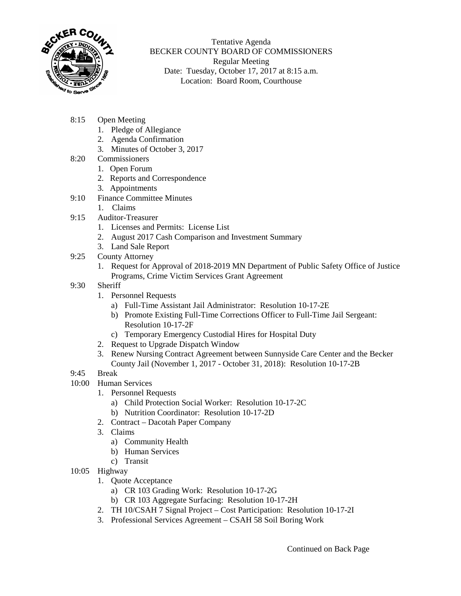

Tentative Agenda BECKER COUNTY BOARD OF COMMISSIONERS Regular Meeting Date: Tuesday, October 17, 2017 at 8:15 a.m. Location: Board Room, Courthouse

- 8:15 Open Meeting
	- 1. Pledge of Allegiance
	- 2. Agenda Confirmation
	- 3. Minutes of October 3, 2017
- 8:20 Commissioners
	- 1. Open Forum
	- 2. Reports and Correspondence
	- 3. Appointments
- 9:10 Finance Committee Minutes
	- 1. Claims
- 9:15 Auditor-Treasurer
	- 1. Licenses and Permits: License List
	- 2. August 2017 Cash Comparison and Investment Summary
	- 3. Land Sale Report
- 9:25 County Attorney
	- 1. Request for Approval of 2018-2019 MN Department of Public Safety Office of Justice Programs, Crime Victim Services Grant Agreement
- 9:30 Sheriff
	- 1. Personnel Requests
		- a) Full-Time Assistant Jail Administrator: Resolution 10-17-2E
		- b) Promote Existing Full-Time Corrections Officer to Full-Time Jail Sergeant: Resolution 10-17-2F
		- c) Temporary Emergency Custodial Hires for Hospital Duty
	- 2. Request to Upgrade Dispatch Window
	- 3. Renew Nursing Contract Agreement between Sunnyside Care Center and the Becker County Jail (November 1, 2017 - October 31, 2018): Resolution 10-17-2B
- 9:45 Break
- 10:00 Human Services
	- 1. Personnel Requests
		- a) Child Protection Social Worker: Resolution 10-17-2C
		- b) Nutrition Coordinator: Resolution 10-17-2D
		- 2. Contract Dacotah Paper Company
	- 3. Claims
		- a) Community Health
		- b) Human Services
		- c) Transit
- 10:05 Highway
	- 1. Quote Acceptance
		- a) CR 103 Grading Work: Resolution 10-17-2G
		- b) CR 103 Aggregate Surfacing: Resolution 10-17-2H
	- 2. TH 10/CSAH 7 Signal Project Cost Participation: Resolution 10-17-2I
	- 3. Professional Services Agreement CSAH 58 Soil Boring Work